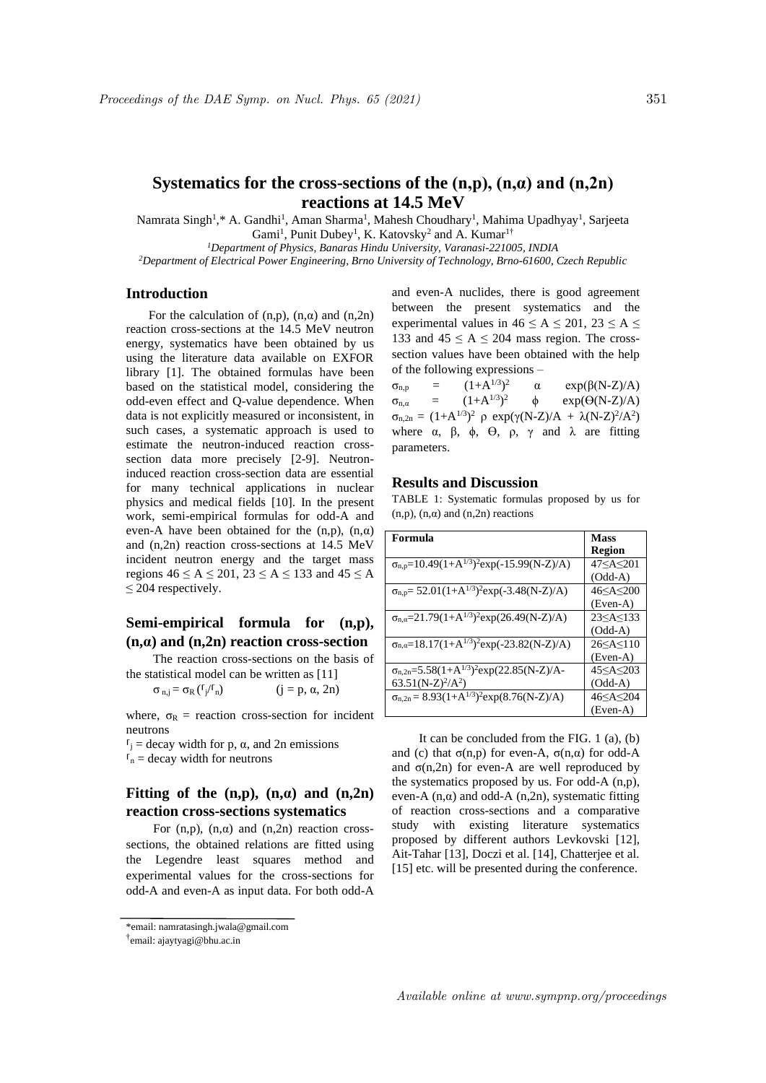Namrata Singh<sup>1</sup>,\* A. Gandhi<sup>1</sup>, Aman Sharma<sup>1</sup>, Mahesh Choudhary<sup>1</sup>, Mahima Upadhyay<sup>1</sup>, Sarjeeta Gami<sup>1</sup>, Punit Dubey<sup>1</sup>, K. Katovsky<sup>2</sup> and A. Kumar<sup>1†</sup>

*<sup>1</sup>Department of Physics, Banaras Hindu University, Varanasi-221005, INDIA*

*<sup>2</sup>Department of Electrical Power Engineering, Brno University of Technology, Brno-61600, Czech Republic*

## **Introduction**

For the calculation of  $(n,p)$ ,  $(n,\alpha)$  and  $(n,2n)$ reaction cross-sections at the 14.5 MeV neutron energy, systematics have been obtained by us using the literature data available on EXFOR library [1]. The obtained formulas have been based on the statistical model, considering the odd-even effect and Q-value dependence. When data is not explicitly measured or inconsistent, in such cases, a systematic approach is used to estimate the neutron-induced reaction crosssection data more precisely [2-9]. Neutroninduced reaction cross-section data are essential for many technical applications in nuclear physics and medical fields [10]. In the present work, semi-empirical formulas for odd-A and even-A have been obtained for the  $(n,p)$ ,  $(n,\alpha)$ and (n,2n) reaction cross-sections at 14.5 MeV incident neutron energy and the target mass regions  $46 \le A \le 201$ ,  $23 \le A \le 133$  and  $45 \le A$ ≤ 204 respectively.

# **Semi-empirical formula for (n,p), (n,α) and (n,2n) reaction cross-section**

The reaction cross-sections on the basis of the statistical model can be written as [11]

 $\sigma_{n,j} = \sigma_R \left(\frac{f_j}{r_n}\right)$  (j = p,  $\alpha$ , 2n)

where,  $\sigma_R$  = reaction cross-section for incident neutrons

 $\Gamma$ <sub>j</sub> = decay width for p, α, and 2n emissions  $I_n$  = decay width for neutrons

## **Fitting of the**  $(n,p)$ **,**  $(n,a)$  **and**  $(n,2n)$ **reaction cross-sections systematics**

For  $(n,p)$ ,  $(n,\alpha)$  and  $(n,2n)$  reaction crosssections, the obtained relations are fitted using the Legendre least squares method and experimental values for the cross-sections for odd-A and even-A as input data. For both odd-A and even-A nuclides, there is good agreement between the present systematics and the experimental values in  $46 \le A \le 201$ ,  $23 \le A \le$ 133 and  $45 \le A \le 204$  mass region. The crosssection values have been obtained with the help of the following expressions –

 $\sigma_{n,p} = (1+A^{1/3})^2$  $exp(\beta(N-Z)/A)$  $\sigma_{n,\alpha}$  =  $(1+A^{1/3})^2$  $\phi$  exp( $\Theta(N-Z)/A$ )  $\sigma_{n,2n} = (1+A^{1/3})^2$  ρ exp(γ(N-Z)/A + λ(N-Z)<sup>2</sup>/A<sup>2</sup>) where  $\alpha$ ,  $\beta$ ,  $\phi$ ,  $\Theta$ ,  $\rho$ ,  $\gamma$  and  $\lambda$  are fitting parameters.

## **Results and Discussion**

TABLE 1: Systematic formulas proposed by us for (n,p),  $(n,\alpha)$  and  $(n,2n)$  reactions

| Formula                                                                         | <b>Mass</b>        |
|---------------------------------------------------------------------------------|--------------------|
|                                                                                 | <b>Region</b>      |
| $\sigma_{n,p} = 10.49(1+A^{1/3})^2 \exp(-15.99(N-Z)/A)$                         |                    |
|                                                                                 | $(Odd-A)$          |
| $\sigma_{n,p} = 52.01(1+A^{1/3})^2 \exp(-3.48(N-Z)/A)$                          | 46 <<br>A<<<br>200 |
|                                                                                 | (Even-A)           |
| $\sigma_{n,\alpha} = 21.79(1+A^{1/3})^2 \exp(26.49(N-Z)/A)$                     |                    |
|                                                                                 | $(Odd-A)$          |
| $\sigma_{n,\alpha}$ =18.17(1+A <sup>1/3</sup> ) <sup>2</sup> exp(-23.82(N-Z)/A) |                    |
|                                                                                 | (Even-A)           |
| $\sigma_{n,2n} = 5.58(1+A^{1/3})^2 \exp(22.85(N-Z)/A-$                          |                    |
| $63.51(N-Z)^{2}/A^{2}$                                                          | $(Odd-A)$          |
| $\sigma_{n,2n} = 8.93(1+A^{1/3})^2 \exp(8.76(N-Z)/A)$                           |                    |
|                                                                                 | $(Even-A)$         |

It can be concluded from the FIG. 1 (a), (b) and (c) that  $\sigma(n,p)$  for even-A,  $\sigma(n,\alpha)$  for odd-A and  $\sigma(n,2n)$  for even-A are well reproduced by the systematics proposed by us. For odd-A (n,p), even-A  $(n, \alpha)$  and odd-A  $(n, 2n)$ , systematic fitting of reaction cross-sections and a comparative study with existing literature systematics proposed by different authors Levkovski [12], Ait-Tahar [13], Doczi et al. [14], Chatterjee et al. [15] etc. will be presented during the conference.

<sup>\*</sup>email: namratasingh.jwala@gmail.com

<sup>†</sup> email: ajaytyagi@bhu.ac.in